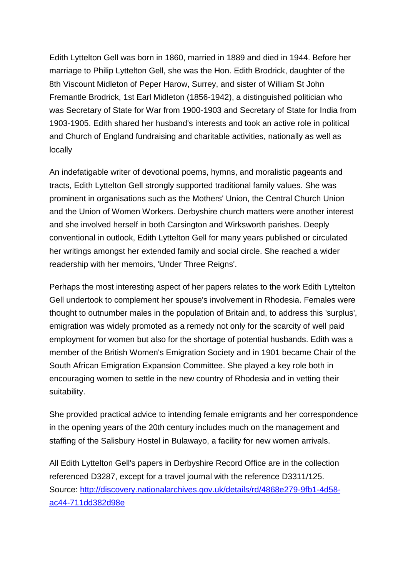Edith Lyttelton Gell was born in 1860, married in 1889 and died in 1944. Before her marriage to Philip Lyttelton Gell, she was the Hon. Edith Brodrick, daughter of the 8th Viscount Midleton of Peper Harow, Surrey, and sister of William St John Fremantle Brodrick, 1st Earl Midleton (1856-1942), a distinguished politician who was Secretary of State for War from 1900-1903 and Secretary of State for India from 1903-1905. Edith shared her husband's interests and took an active role in political and Church of England fundraising and charitable activities, nationally as well as locally

An indefatigable writer of devotional poems, hymns, and moralistic pageants and tracts, Edith Lyttelton Gell strongly supported traditional family values. She was prominent in organisations such as the Mothers' Union, the Central Church Union and the Union of Women Workers. Derbyshire church matters were another interest and she involved herself in both Carsington and Wirksworth parishes. Deeply conventional in outlook, Edith Lyttelton Gell for many years published or circulated her writings amongst her extended family and social circle. She reached a wider readership with her memoirs, 'Under Three Reigns'.

Perhaps the most interesting aspect of her papers relates to the work Edith Lyttelton Gell undertook to complement her spouse's involvement in Rhodesia. Females were thought to outnumber males in the population of Britain and, to address this 'surplus', emigration was widely promoted as a remedy not only for the scarcity of well paid employment for women but also for the shortage of potential husbands. Edith was a member of the British Women's Emigration Society and in 1901 became Chair of the South African Emigration Expansion Committee. She played a key role both in encouraging women to settle in the new country of Rhodesia and in vetting their suitability.

She provided practical advice to intending female emigrants and her correspondence in the opening years of the 20th century includes much on the management and staffing of the Salisbury Hostel in Bulawayo, a facility for new women arrivals.

All Edith Lyttelton Gell's papers in Derbyshire Record Office are in the collection referenced D3287, except for a travel journal with the reference D3311/125. Source: [http://discovery.nationalarchives.gov.uk/details/rd/4868e279-9fb1-4d58](http://discovery.nationalarchives.gov.uk/details/rd/4868e279-9fb1-4d58-ac44-711dd382d98e) [ac44-711dd382d98e](http://discovery.nationalarchives.gov.uk/details/rd/4868e279-9fb1-4d58-ac44-711dd382d98e)